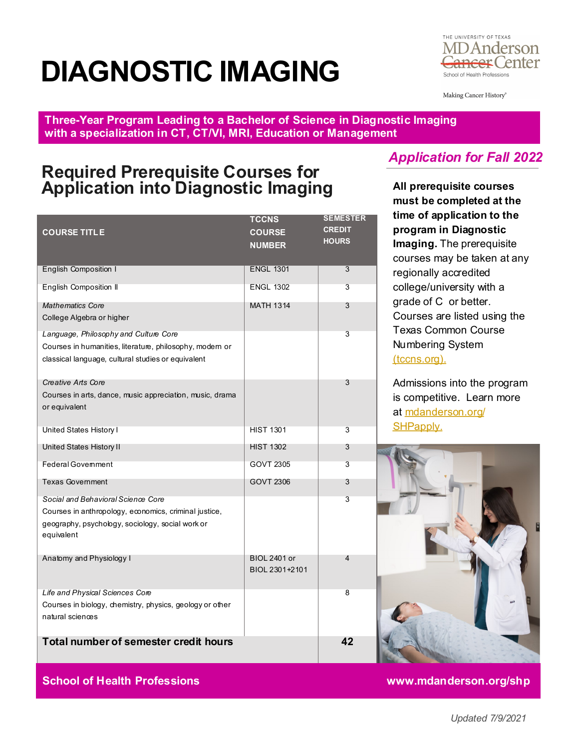# **DIAGNOSTIC IMAGING**



Making Cancer History®

**Three-Year Program Leading to a Bachelor of Science in Diagnostic Imaging with a specialization in CT, CT/VI, MRI, Education or Management**

## **Required Prerequisite Courses for Application into Diagnostic Imaging**

| <b>COURSE TITLE</b>                                                                                                                                           | <b>TCCNS</b><br><b>COURSE</b><br><b>NUMBER</b> | <b>SEMESTER</b><br><b>CREDIT</b><br><b>HOURS</b> |
|---------------------------------------------------------------------------------------------------------------------------------------------------------------|------------------------------------------------|--------------------------------------------------|
| <b>English Composition I</b>                                                                                                                                  | <b>ENGL 1301</b>                               | 3                                                |
| <b>English Composition II</b>                                                                                                                                 | <b>ENGL 1302</b>                               | 3                                                |
| <b>Mathematics Core</b><br>College Algebra or higher                                                                                                          | <b>MATH 1314</b>                               | 3                                                |
| Language, Philosophy and Culture Core<br>Courses in humanities, literature, philosophy, modern or<br>classical language, cultural studies or equivalent       |                                                | 3                                                |
| <b>Creative Arts Core</b><br>Courses in arts, dance, music appreciation, music, drama<br>or equivalent                                                        |                                                | 3                                                |
| United States History I                                                                                                                                       | <b>HIST 1301</b>                               | 3                                                |
| United States History II                                                                                                                                      | <b>HIST 1302</b>                               | 3                                                |
| <b>Federal Govemment</b>                                                                                                                                      | GOVT 2305                                      | 3                                                |
| <b>Texas Government</b>                                                                                                                                       | <b>GOVT 2306</b>                               | 3                                                |
| Social and Behavioral Science Core<br>Courses in anthropology, economics, criminal justice,<br>geography, psychology, sociology, social work or<br>equivalent |                                                | 3                                                |
| Anatomy and Physiology I                                                                                                                                      | <b>BIOL 2401 or</b><br>BIOL 2301+2101          | 4                                                |
| Life and Physical Sciences Core<br>Courses in biology, chemistry, physics, geology or other<br>natural sciences                                               |                                                | 8                                                |
| <b>Total number of semester credit hours</b>                                                                                                                  |                                                | 42                                               |

### *Application for Fall 2022*

**All prerequisite courses must be completed at the time of application to the program in Diagnostic Imaging.** The prerequisite courses may be taken at any regionally accredited college/university with a grade of C or better. Courses are listed using the Texas Common Course Numbering System [\(tccns.org\).](https://tccns.org/)

Admissions into the program is competitive. Learn more at [mdanderson.org/](https://www.mdanderson.org/education-training/degrees-programs/school-of-health-professions/prospective-students/undergrad-application.html) [SHPapply.](https://www.mdanderson.org/education-training/degrees-programs/school-of-health-professions/prospective-students/undergrad-application.html)



**School of Health Professions www.mdanderson.org/shp**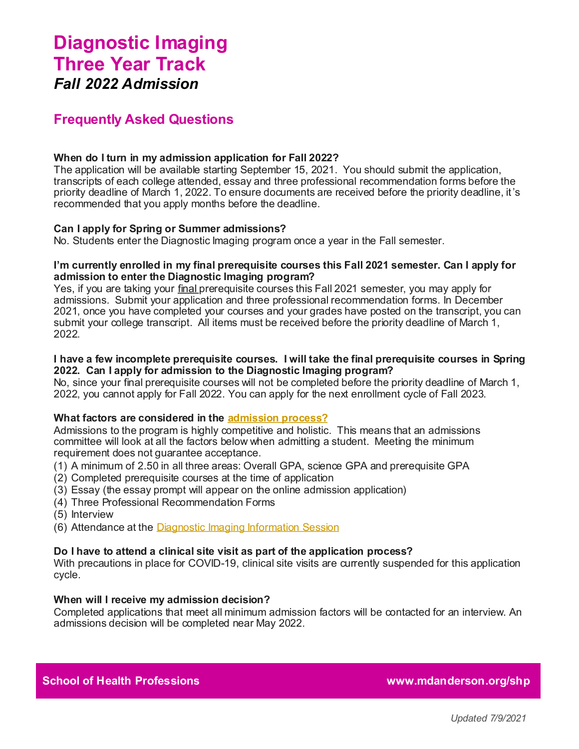# **Diagnostic Imaging Three Year Track** *Fall 2022 Admission*

### **Frequently Asked Questions**

### **When do I turn in my admission application for Fall 2022?**

The application will be available starting September 15, 2021. You should submit the application, transcripts of each college attended, essay and three professional recommendation forms before the priority deadline of March 1, 2022. To ensure documents are received before the priority deadline, it's recommended that you apply months before the deadline.

### **Can I apply for Spring or Summer admissions?**

No. Students enter the Diagnostic Imaging program once a year in the Fall semester.

### **I'm currently enrolled in my final prerequisite courses this Fall 2021 semester. Can I apply for admission to enter the Diagnostic Imaging program?**

Yes, if you are taking your final prerequisite courses this Fall 2021 semester, you may apply for admissions. Submit your application and three professional recommendation forms. In December 2021, once you have completed your courses and your grades have posted on the transcript, you can submit your college transcript. All items must be received before the priority deadline of March 1, 2022.

### **I have a few incomplete prerequisite courses. I will take the final prerequisite courses in Spring 2022. Can I apply for admission to the Diagnostic Imaging program?**

No, since your final prerequisite courses will not be completed before the priority deadline of March 1, 2022, you cannot apply for Fall 2022. You can apply for the next enrollment cycle of Fall 2023.

### **What factors are considered in the [admission process?](https://www.mdanderson.org/education-training/degrees-programs/school-of-health-professions/prospective-students/undergrad-application.html)**

Admissions to the program is highly competitive and holistic. This means that an admissions committee will look at all the factors below when admitting a student. Meeting the minimum requirement does not guarantee acceptance.

- (1) A minimum of 2.50 in all three areas: Overall GPA, science GPA and prerequisite GPA
- (2) Completed prerequisite courses at the time of application
- (3) Essay (the essay prompt will appear on the online admission application)
- (4) Three Professional Recommendation Forms
- (5) Interview
- (6) Attendance at the [Diagnostic Imaging Information Session](https://www.mdanderson.org/education-training/degrees-programs/school-of-health-professions/prospective-students/program-sessions.html)

### **Do I have to attend a clinical site visit as part of the application process?**

With precautions in place for COVID-19, clinical site visits are currently suspended for this application cycle.

### **When will I receive my admission decision?**

Completed applications that meet all minimum admission factors will be contacted for an interview. An admissions decision will be completed near May 2022.